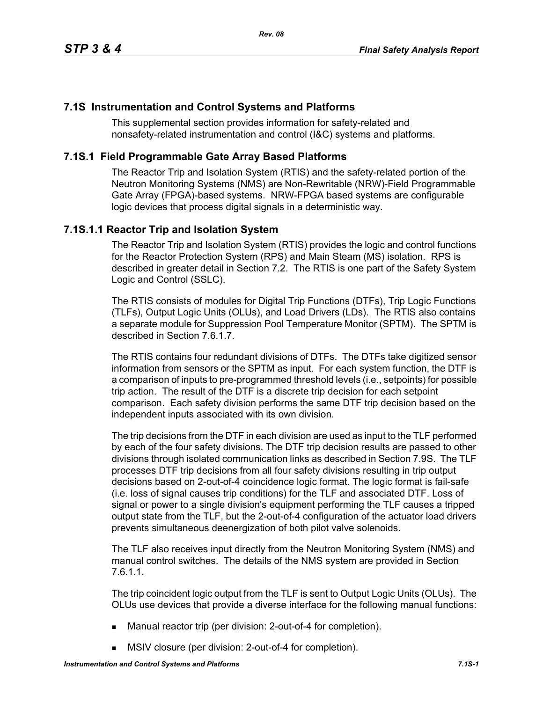# **7.1S Instrumentation and Control Systems and Platforms**

This supplemental section provides information for safety-related and nonsafety-related instrumentation and control (I&C) systems and platforms.

# **7.1S.1 Field Programmable Gate Array Based Platforms**

The Reactor Trip and Isolation System (RTIS) and the safety-related portion of the Neutron Monitoring Systems (NMS) are Non-Rewritable (NRW)-Field Programmable Gate Array (FPGA)-based systems. NRW-FPGA based systems are configurable logic devices that process digital signals in a deterministic way.

# **7.1S.1.1 Reactor Trip and Isolation System**

The Reactor Trip and Isolation System (RTIS) provides the logic and control functions for the Reactor Protection System (RPS) and Main Steam (MS) isolation. RPS is described in greater detail in Section 7.2. The RTIS is one part of the Safety System Logic and Control (SSLC).

The RTIS consists of modules for Digital Trip Functions (DTFs), Trip Logic Functions (TLFs), Output Logic Units (OLUs), and Load Drivers (LDs). The RTIS also contains a separate module for Suppression Pool Temperature Monitor (SPTM). The SPTM is described in Section 7.6.1.7.

The RTIS contains four redundant divisions of DTFs. The DTFs take digitized sensor information from sensors or the SPTM as input. For each system function, the DTF is a comparison of inputs to pre-programmed threshold levels (i.e., setpoints) for possible trip action. The result of the DTF is a discrete trip decision for each setpoint comparison. Each safety division performs the same DTF trip decision based on the independent inputs associated with its own division.

The trip decisions from the DTF in each division are used as input to the TLF performed by each of the four safety divisions. The DTF trip decision results are passed to other divisions through isolated communication links as described in Section 7.9S. The TLF processes DTF trip decisions from all four safety divisions resulting in trip output decisions based on 2-out-of-4 coincidence logic format. The logic format is fail-safe (i.e. loss of signal causes trip conditions) for the TLF and associated DTF. Loss of signal or power to a single division's equipment performing the TLF causes a tripped output state from the TLF, but the 2-out-of-4 configuration of the actuator load drivers prevents simultaneous deenergization of both pilot valve solenoids.

The TLF also receives input directly from the Neutron Monitoring System (NMS) and manual control switches. The details of the NMS system are provided in Section 7.6.1.1.

The trip coincident logic output from the TLF is sent to Output Logic Units (OLUs). The OLUs use devices that provide a diverse interface for the following manual functions:

- Manual reactor trip (per division: 2-out-of-4 for completion).
- **MSIV** closure (per division: 2-out-of-4 for completion).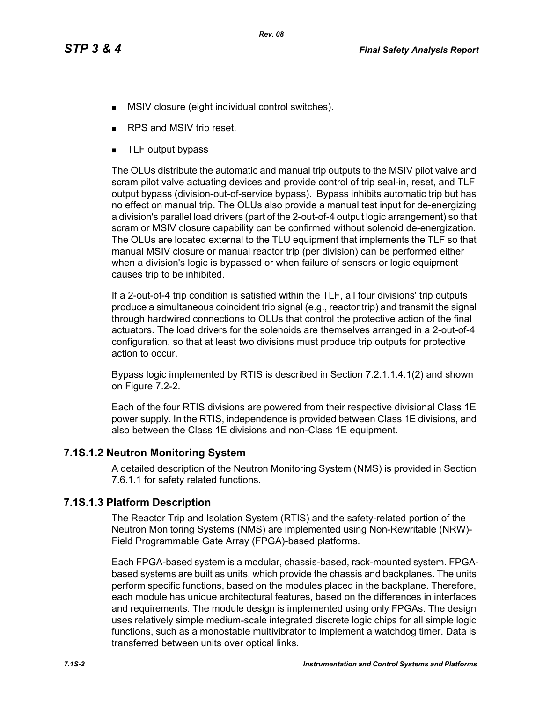- **MSIV** closure (eight individual control switches).
- RPS and MSIV trip reset.
- **TLF** output bypass

The OLUs distribute the automatic and manual trip outputs to the MSIV pilot valve and scram pilot valve actuating devices and provide control of trip seal-in, reset, and TLF output bypass (division-out-of-service bypass). Bypass inhibits automatic trip but has no effect on manual trip. The OLUs also provide a manual test input for de-energizing a division's parallel load drivers (part of the 2-out-of-4 output logic arrangement) so that scram or MSIV closure capability can be confirmed without solenoid de-energization. The OLUs are located external to the TLU equipment that implements the TLF so that manual MSIV closure or manual reactor trip (per division) can be performed either when a division's logic is bypassed or when failure of sensors or logic equipment causes trip to be inhibited.

If a 2-out-of-4 trip condition is satisfied within the TLF, all four divisions' trip outputs produce a simultaneous coincident trip signal (e.g., reactor trip) and transmit the signal through hardwired connections to OLUs that control the protective action of the final actuators. The load drivers for the solenoids are themselves arranged in a 2-out-of-4 configuration, so that at least two divisions must produce trip outputs for protective action to occur.

Bypass logic implemented by RTIS is described in Section 7.2.1.1.4.1(2) and shown on Figure 7.2-2.

Each of the four RTIS divisions are powered from their respective divisional Class 1E power supply. In the RTIS, independence is provided between Class 1E divisions, and also between the Class 1E divisions and non-Class 1E equipment.

### **7.1S.1.2 Neutron Monitoring System**

A detailed description of the Neutron Monitoring System (NMS) is provided in Section 7.6.1.1 for safety related functions.

### **7.1S.1.3 Platform Description**

The Reactor Trip and Isolation System (RTIS) and the safety-related portion of the Neutron Monitoring Systems (NMS) are implemented using Non-Rewritable (NRW)- Field Programmable Gate Array (FPGA)-based platforms.

Each FPGA-based system is a modular, chassis-based, rack-mounted system. FPGAbased systems are built as units, which provide the chassis and backplanes. The units perform specific functions, based on the modules placed in the backplane. Therefore, each module has unique architectural features, based on the differences in interfaces and requirements. The module design is implemented using only FPGAs. The design uses relatively simple medium-scale integrated discrete logic chips for all simple logic functions, such as a monostable multivibrator to implement a watchdog timer. Data is transferred between units over optical links.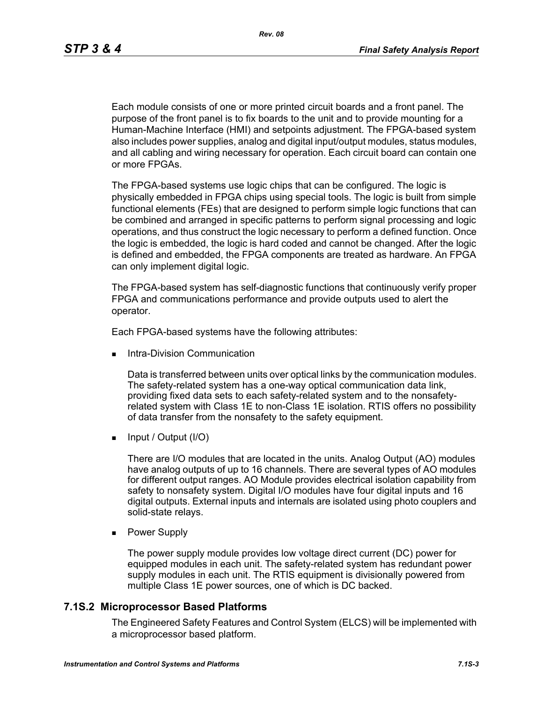Each module consists of one or more printed circuit boards and a front panel. The purpose of the front panel is to fix boards to the unit and to provide mounting for a Human-Machine Interface (HMI) and setpoints adjustment. The FPGA-based system also includes power supplies, analog and digital input/output modules, status modules, and all cabling and wiring necessary for operation. Each circuit board can contain one or more FPGAs.

The FPGA-based systems use logic chips that can be configured. The logic is physically embedded in FPGA chips using special tools. The logic is built from simple functional elements (FEs) that are designed to perform simple logic functions that can be combined and arranged in specific patterns to perform signal processing and logic operations, and thus construct the logic necessary to perform a defined function. Once the logic is embedded, the logic is hard coded and cannot be changed. After the logic is defined and embedded, the FPGA components are treated as hardware. An FPGA can only implement digital logic.

The FPGA-based system has self-diagnostic functions that continuously verify proper FPGA and communications performance and provide outputs used to alert the operator.

Each FPGA-based systems have the following attributes:

Intra-Division Communication

Data is transferred between units over optical links by the communication modules. The safety-related system has a one-way optical communication data link, providing fixed data sets to each safety-related system and to the nonsafetyrelated system with Class 1E to non-Class 1E isolation. RTIS offers no possibility of data transfer from the nonsafety to the safety equipment.

 $\blacksquare$  Input / Output (I/O)

There are I/O modules that are located in the units. Analog Output (AO) modules have analog outputs of up to 16 channels. There are several types of AO modules for different output ranges. AO Module provides electrical isolation capability from safety to nonsafety system. Digital I/O modules have four digital inputs and 16 digital outputs. External inputs and internals are isolated using photo couplers and solid-state relays.

**Power Supply** 

The power supply module provides low voltage direct current (DC) power for equipped modules in each unit. The safety-related system has redundant power supply modules in each unit. The RTIS equipment is divisionally powered from multiple Class 1E power sources, one of which is DC backed.

#### **7.1S.2 Microprocessor Based Platforms**

The Engineered Safety Features and Control System (ELCS) will be implemented with a microprocessor based platform.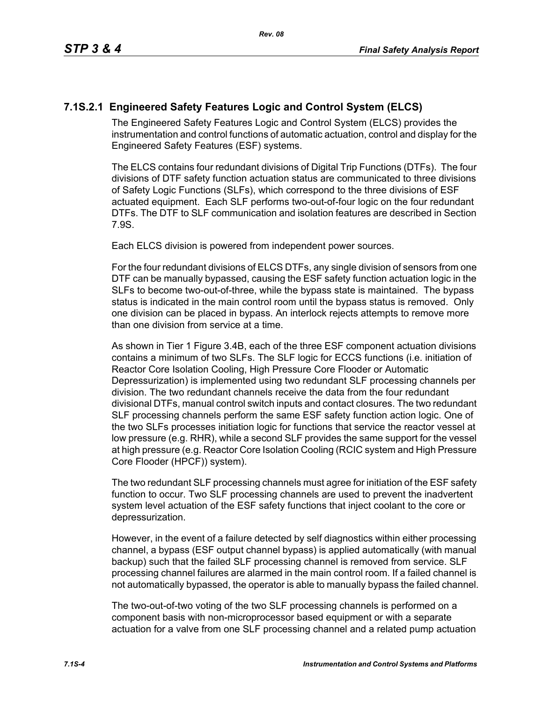# **7.1S.2.1 Engineered Safety Features Logic and Control System (ELCS)**

The Engineered Safety Features Logic and Control System (ELCS) provides the instrumentation and control functions of automatic actuation, control and display for the Engineered Safety Features (ESF) systems.

The ELCS contains four redundant divisions of Digital Trip Functions (DTFs). The four divisions of DTF safety function actuation status are communicated to three divisions of Safety Logic Functions (SLFs), which correspond to the three divisions of ESF actuated equipment. Each SLF performs two-out-of-four logic on the four redundant DTFs. The DTF to SLF communication and isolation features are described in Section 7.9S.

Each ELCS division is powered from independent power sources.

For the four redundant divisions of ELCS DTFs, any single division of sensors from one DTF can be manually bypassed, causing the ESF safety function actuation logic in the SLFs to become two-out-of-three, while the bypass state is maintained. The bypass status is indicated in the main control room until the bypass status is removed. Only one division can be placed in bypass. An interlock rejects attempts to remove more than one division from service at a time.

As shown in Tier 1 Figure 3.4B, each of the three ESF component actuation divisions contains a minimum of two SLFs. The SLF logic for ECCS functions (i.e. initiation of Reactor Core Isolation Cooling, High Pressure Core Flooder or Automatic Depressurization) is implemented using two redundant SLF processing channels per division. The two redundant channels receive the data from the four redundant divisional DTFs, manual control switch inputs and contact closures. The two redundant SLF processing channels perform the same ESF safety function action logic. One of the two SLFs processes initiation logic for functions that service the reactor vessel at low pressure (e.g. RHR), while a second SLF provides the same support for the vessel at high pressure (e.g. Reactor Core Isolation Cooling (RCIC system and High Pressure Core Flooder (HPCF)) system).

The two redundant SLF processing channels must agree for initiation of the ESF safety function to occur. Two SLF processing channels are used to prevent the inadvertent system level actuation of the ESF safety functions that inject coolant to the core or depressurization.

However, in the event of a failure detected by self diagnostics within either processing channel, a bypass (ESF output channel bypass) is applied automatically (with manual backup) such that the failed SLF processing channel is removed from service. SLF processing channel failures are alarmed in the main control room. If a failed channel is not automatically bypassed, the operator is able to manually bypass the failed channel.

The two-out-of-two voting of the two SLF processing channels is performed on a component basis with non-microprocessor based equipment or with a separate actuation for a valve from one SLF processing channel and a related pump actuation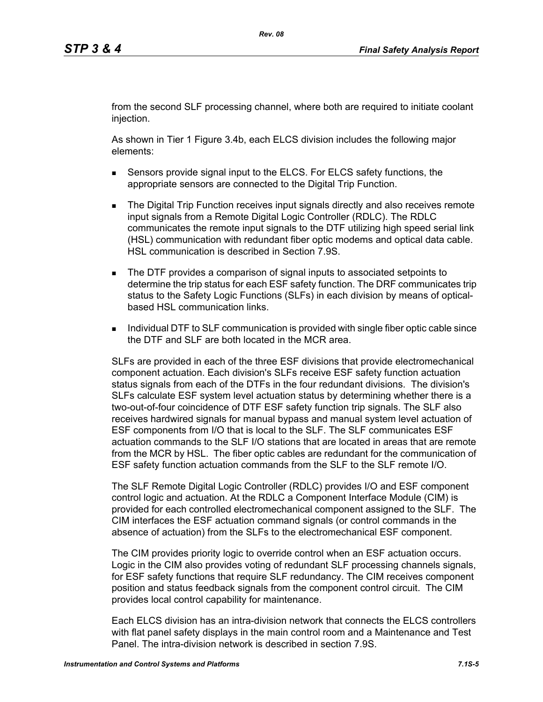from the second SLF processing channel, where both are required to initiate coolant injection.

As shown in Tier 1 Figure 3.4b, each ELCS division includes the following major elements:

- Sensors provide signal input to the ELCS. For ELCS safety functions, the appropriate sensors are connected to the Digital Trip Function.
- **The Digital Trip Function receives input signals directly and also receives remote** input signals from a Remote Digital Logic Controller (RDLC). The RDLC communicates the remote input signals to the DTF utilizing high speed serial link (HSL) communication with redundant fiber optic modems and optical data cable. HSL communication is described in Section 7.9S.
- The DTF provides a comparison of signal inputs to associated setpoints to determine the trip status for each ESF safety function. The DRF communicates trip status to the Safety Logic Functions (SLFs) in each division by means of opticalbased HSL communication links.
- **Individual DTF to SLF communication is provided with single fiber optic cable since** the DTF and SLF are both located in the MCR area.

SLFs are provided in each of the three ESF divisions that provide electromechanical component actuation. Each division's SLFs receive ESF safety function actuation status signals from each of the DTFs in the four redundant divisions. The division's SLFs calculate ESF system level actuation status by determining whether there is a two-out-of-four coincidence of DTF ESF safety function trip signals. The SLF also receives hardwired signals for manual bypass and manual system level actuation of ESF components from I/O that is local to the SLF. The SLF communicates ESF actuation commands to the SLF I/O stations that are located in areas that are remote from the MCR by HSL. The fiber optic cables are redundant for the communication of ESF safety function actuation commands from the SLF to the SLF remote I/O.

The SLF Remote Digital Logic Controller (RDLC) provides I/O and ESF component control logic and actuation. At the RDLC a Component Interface Module (CIM) is provided for each controlled electromechanical component assigned to the SLF. The CIM interfaces the ESF actuation command signals (or control commands in the absence of actuation) from the SLFs to the electromechanical ESF component.

The CIM provides priority logic to override control when an ESF actuation occurs. Logic in the CIM also provides voting of redundant SLF processing channels signals, for ESF safety functions that require SLF redundancy. The CIM receives component position and status feedback signals from the component control circuit. The CIM provides local control capability for maintenance.

Each ELCS division has an intra-division network that connects the ELCS controllers with flat panel safety displays in the main control room and a Maintenance and Test Panel. The intra-division network is described in section 7.9S.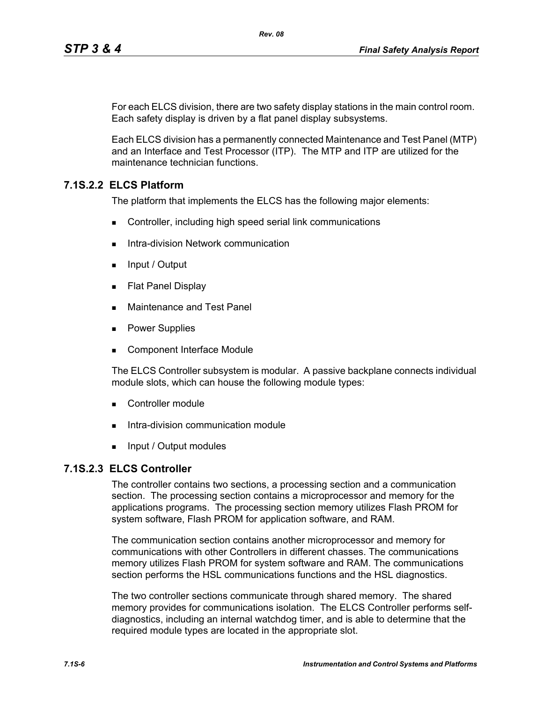For each ELCS division, there are two safety display stations in the main control room. Each safety display is driven by a flat panel display subsystems.

Each ELCS division has a permanently connected Maintenance and Test Panel (MTP) and an Interface and Test Processor (ITP). The MTP and ITP are utilized for the maintenance technician functions.

# **7.1S.2.2 ELCS Platform**

The platform that implements the ELCS has the following major elements:

- Controller, including high speed serial link communications
- Intra-division Network communication
- $\blacksquare$  Input / Output
- **Flat Panel Display**
- **Maintenance and Test Panel**
- **Power Supplies**
- Component Interface Module

The ELCS Controller subsystem is modular. A passive backplane connects individual module slots, which can house the following module types:

- Controller module
- Intra-division communication module
- **Input / Output modules**

# **7.1S.2.3 ELCS Controller**

The controller contains two sections, a processing section and a communication section. The processing section contains a microprocessor and memory for the applications programs. The processing section memory utilizes Flash PROM for system software, Flash PROM for application software, and RAM.

The communication section contains another microprocessor and memory for communications with other Controllers in different chasses. The communications memory utilizes Flash PROM for system software and RAM. The communications section performs the HSL communications functions and the HSL diagnostics.

The two controller sections communicate through shared memory. The shared memory provides for communications isolation. The ELCS Controller performs selfdiagnostics, including an internal watchdog timer, and is able to determine that the required module types are located in the appropriate slot.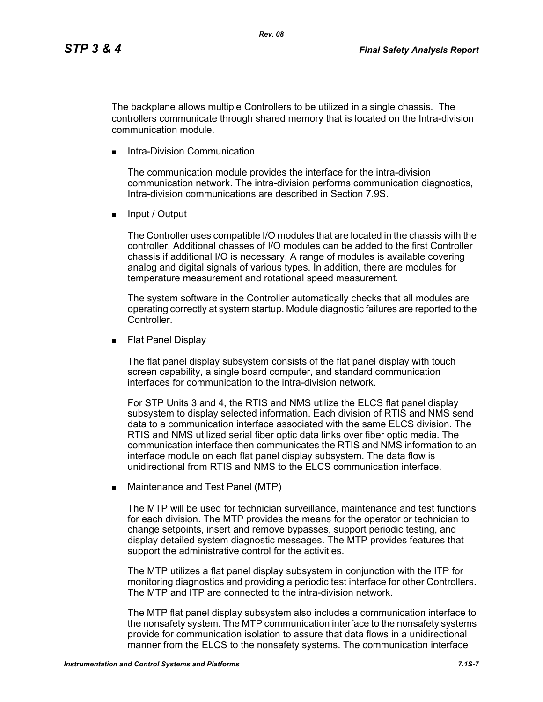The backplane allows multiple Controllers to be utilized in a single chassis. The controllers communicate through shared memory that is located on the Intra-division communication module.

Intra-Division Communication

The communication module provides the interface for the intra-division communication network. The intra-division performs communication diagnostics, Intra-division communications are described in Section 7.9S.

**Input / Output** 

The Controller uses compatible I/O modules that are located in the chassis with the controller. Additional chasses of I/O modules can be added to the first Controller chassis if additional I/O is necessary. A range of modules is available covering analog and digital signals of various types. In addition, there are modules for temperature measurement and rotational speed measurement.

The system software in the Controller automatically checks that all modules are operating correctly at system startup. Module diagnostic failures are reported to the Controller.

**Flat Panel Display** 

The flat panel display subsystem consists of the flat panel display with touch screen capability, a single board computer, and standard communication interfaces for communication to the intra-division network.

For STP Units 3 and 4, the RTIS and NMS utilize the ELCS flat panel display subsystem to display selected information. Each division of RTIS and NMS send data to a communication interface associated with the same ELCS division. The RTIS and NMS utilized serial fiber optic data links over fiber optic media. The communication interface then communicates the RTIS and NMS information to an interface module on each flat panel display subsystem. The data flow is unidirectional from RTIS and NMS to the ELCS communication interface.

**Maintenance and Test Panel (MTP)** 

The MTP will be used for technician surveillance, maintenance and test functions for each division. The MTP provides the means for the operator or technician to change setpoints, insert and remove bypasses, support periodic testing, and display detailed system diagnostic messages. The MTP provides features that support the administrative control for the activities.

The MTP utilizes a flat panel display subsystem in conjunction with the ITP for monitoring diagnostics and providing a periodic test interface for other Controllers. The MTP and ITP are connected to the intra-division network.

The MTP flat panel display subsystem also includes a communication interface to the nonsafety system. The MTP communication interface to the nonsafety systems provide for communication isolation to assure that data flows in a unidirectional manner from the ELCS to the nonsafety systems. The communication interface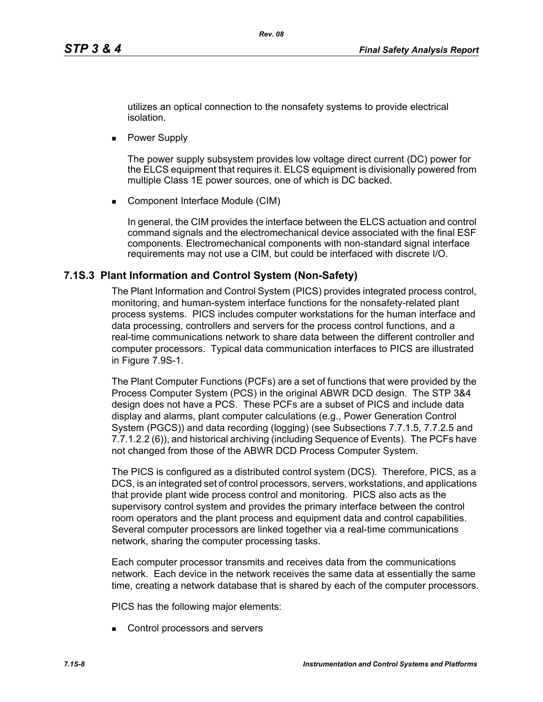utilizes an optical connection to the nonsafety systems to provide electrical isolation.

**Power Supply** 

The power supply subsystem provides low voltage direct current (DC) power for the ELCS equipment that requires it. ELCS equipment is divisionally powered from multiple Class 1E power sources, one of which is DC backed.

■ Component Interface Module (CIM)

In general, the CIM provides the interface between the ELCS actuation and control command signals and the electromechanical device associated with the final ESF components. Electromechanical components with non-standard signal interface requirements may not use a CIM, but could be interfaced with discrete I/O.

### **7.1S.3 Plant Information and Control System (Non-Safety)**

The Plant Information and Control System (PICS) provides integrated process control, monitoring, and human-system interface functions for the nonsafety-related plant process systems. PICS includes computer workstations for the human interface and data processing, controllers and servers for the process control functions, and a real-time communications network to share data between the different controller and computer processors. Typical data communication interfaces to PICS are illustrated in Figure 7.9S-1.

The Plant Computer Functions (PCFs) are a set of functions that were provided by the Process Computer System (PCS) in the original ABWR DCD design. The STP 3&4 design does not have a PCS. These PCFs are a subset of PICS and include data display and alarms, plant computer calculations (e.g., Power Generation Control System (PGCS)) and data recording (logging) (see Subsections 7.7.1.5, 7.7.2.5 and 7.7.1.2.2 (6)), and historical archiving (including Sequence of Events). The PCFs have not changed from those of the ABWR DCD Process Computer System.

The PICS is configured as a distributed control system (DCS). Therefore, PICS, as a DCS, is an integrated set of control processors, servers, workstations, and applications that provide plant wide process control and monitoring. PICS also acts as the supervisory control system and provides the primary interface between the control room operators and the plant process and equipment data and control capabilities. Several computer processors are linked together via a real-time communications network, sharing the computer processing tasks.

Each computer processor transmits and receives data from the communications network. Each device in the network receives the same data at essentially the same time, creating a network database that is shared by each of the computer processors.

PICS has the following major elements:

Control processors and servers